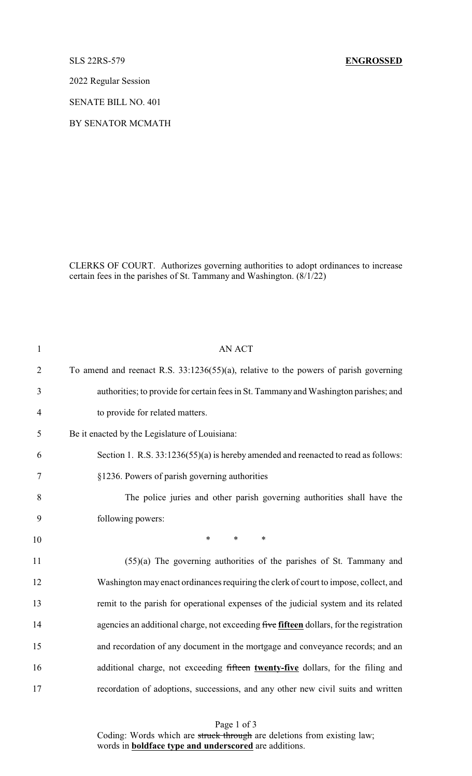2022 Regular Session

SENATE BILL NO. 401

BY SENATOR MCMATH

CLERKS OF COURT. Authorizes governing authorities to adopt ordinances to increase certain fees in the parishes of St. Tammany and Washington. (8/1/22)

| <b>AN ACT</b>                                                                           |
|-----------------------------------------------------------------------------------------|
| To amend and reenact R.S. 33:1236(55)(a), relative to the powers of parish governing    |
| authorities; to provide for certain fees in St. Tammany and Washington parishes; and    |
| to provide for related matters.                                                         |
| Be it enacted by the Legislature of Louisiana:                                          |
| Section 1. R.S. 33:1236(55)(a) is hereby amended and reenacted to read as follows:      |
| §1236. Powers of parish governing authorities                                           |
| The police juries and other parish governing authorities shall have the                 |
| following powers:                                                                       |
| $\ast$<br>$\ast$<br>$\ast$                                                              |
| (55)(a) The governing authorities of the parishes of St. Tammany and                    |
| Washington may enact ordinances requiring the clerk of court to impose, collect, and    |
| remit to the parish for operational expenses of the judicial system and its related     |
| agencies an additional charge, not exceeding five fifteen dollars, for the registration |
| and recordation of any document in the mortgage and conveyance records; and an          |
| additional charge, not exceeding fifteen twenty-five dollars, for the filing and        |
| recordation of adoptions, successions, and any other new civil suits and written        |
|                                                                                         |

Page 1 of 3 Coding: Words which are struck through are deletions from existing law; words in **boldface type and underscored** are additions.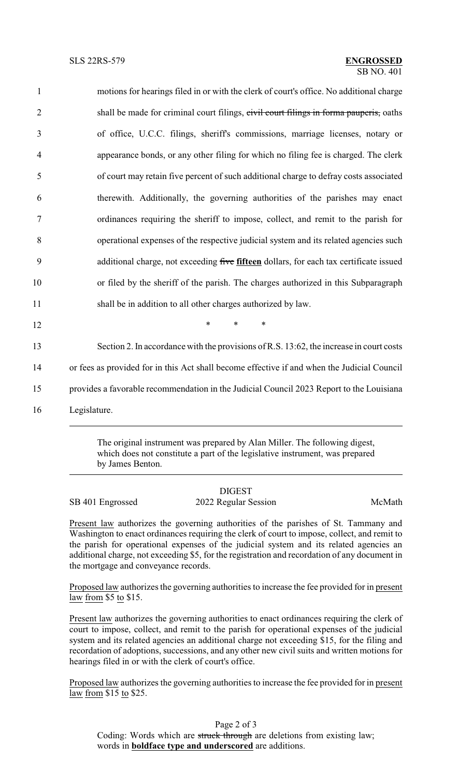| $\mathbf{1}$   | motions for hearings filed in or with the clerk of court's office. No additional charge     |
|----------------|---------------------------------------------------------------------------------------------|
| $\overline{2}$ | shall be made for criminal court filings, civil court filings in forma pauperis, oaths      |
| 3              | of office, U.C.C. filings, sheriff's commissions, marriage licenses, notary or              |
| $\overline{4}$ | appearance bonds, or any other filing for which no filing fee is charged. The clerk         |
| 5              | of court may retain five percent of such additional charge to defray costs associated       |
| 6              | therewith. Additionally, the governing authorities of the parishes may enact                |
| $\tau$         | ordinances requiring the sheriff to impose, collect, and remit to the parish for            |
| 8              | operational expenses of the respective judicial system and its related agencies such        |
| 9              | additional charge, not exceeding five fifteen dollars, for each tax certificate issued      |
| 10             | or filed by the sheriff of the parish. The charges authorized in this Subparagraph          |
| 11             | shall be in addition to all other charges authorized by law.                                |
| 12             | $\ast$<br>$\ast$<br>$\ast$                                                                  |
| 13             | Section 2. In accordance with the provisions of R.S. 13:62, the increase in court costs     |
| 14             | or fees as provided for in this Act shall become effective if and when the Judicial Council |
| 15             | provides a favorable recommendation in the Judicial Council 2023 Report to the Louisiana    |
| 16             | Legislature.                                                                                |
|                |                                                                                             |

The original instrument was prepared by Alan Miller. The following digest, which does not constitute a part of the legislative instrument, was prepared by James Benton.

## DIGEST

SB 401 Engrossed 2022 Regular Session McMath

Present law authorizes the governing authorities of the parishes of St. Tammany and Washington to enact ordinances requiring the clerk of court to impose, collect, and remit to the parish for operational expenses of the judicial system and its related agencies an additional charge, not exceeding \$5, for the registration and recordation of any document in the mortgage and conveyance records.

Proposed law authorizes the governing authorities to increase the fee provided for in present law from \$5 to \$15.

Present law authorizes the governing authorities to enact ordinances requiring the clerk of court to impose, collect, and remit to the parish for operational expenses of the judicial system and its related agencies an additional charge not exceeding \$15, for the filing and recordation of adoptions, successions, and any other new civil suits and written motions for hearings filed in or with the clerk of court's office.

Proposed law authorizes the governing authorities to increase the fee provided for in present law from \$15 to \$25.

Page 2 of 3 Coding: Words which are struck through are deletions from existing law; words in **boldface type and underscored** are additions.